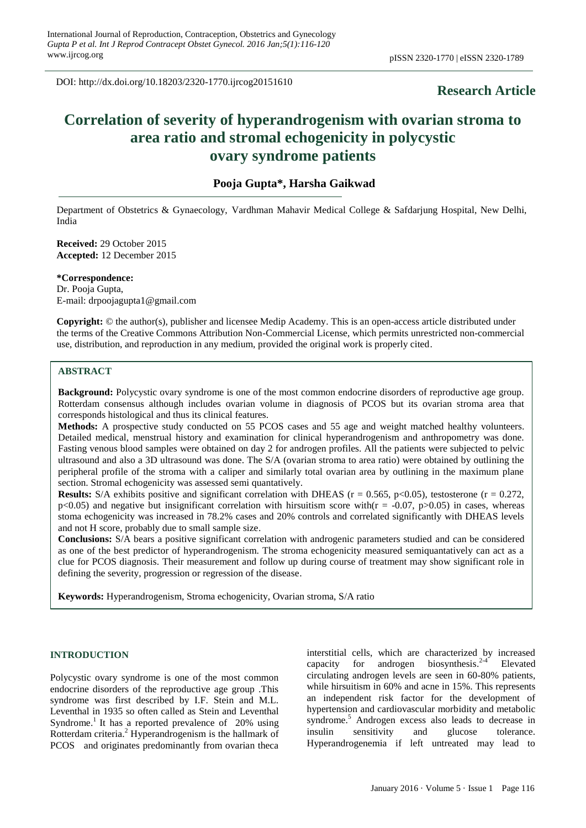DOI: http://dx.doi.org/10.18203/2320-1770.ijrcog20151610

## **Research Article**

# **Correlation of severity of hyperandrogenism with ovarian stroma to area ratio and stromal echogenicity in polycystic ovary syndrome patients**

## **Pooja Gupta\*, Harsha Gaikwad**

Department of Obstetrics & Gynaecology, Vardhman Mahavir Medical College & Safdarjung Hospital, New Delhi, India

**Received:** 29 October 2015 **Accepted:** 12 December 2015

**\*Correspondence:** Dr. Pooja Gupta, E-mail: drpoojagupta1@gmail.com

**Copyright:** © the author(s), publisher and licensee Medip Academy. This is an open-access article distributed under the terms of the Creative Commons Attribution Non-Commercial License, which permits unrestricted non-commercial use, distribution, and reproduction in any medium, provided the original work is properly cited.

#### **ABSTRACT**

**Background:** Polycystic ovary syndrome is one of the most common endocrine disorders of reproductive age group. Rotterdam consensus although includes ovarian volume in diagnosis of PCOS but its ovarian stroma area that corresponds histological and thus its clinical features.

**Methods:** A prospective study conducted on 55 PCOS cases and 55 age and weight matched healthy volunteers. Detailed medical, menstrual history and examination for clinical hyperandrogenism and anthropometry was done. Fasting venous blood samples were obtained on day 2 for androgen profiles. All the patients were subjected to pelvic ultrasound and also a 3D ultrasound was done. The S/A (ovarian stroma to area ratio) were obtained by outlining the peripheral profile of the stroma with a caliper and similarly total ovarian area by outlining in the maximum plane section. Stromal echogenicity was assessed semi quantatively.

**Results:** S/A exhibits positive and significant correlation with DHEAS ( $r = 0.565$ ,  $p < 0.05$ ), testosterone ( $r = 0.272$ ,  $p<0.05$ ) and negative but insignificant correlation with hirsuitism score with( $r = -0.07$ ,  $p>0.05$ ) in cases, whereas stoma echogenicity was increased in 78.2% cases and 20% controls and correlated significantly with DHEAS levels and not H score, probably due to small sample size.

**Conclusions:** S/A bears a positive significant correlation with androgenic parameters studied and can be considered as one of the best predictor of hyperandrogenism. The stroma echogenicity measured semiquantatively can act as a clue for PCOS diagnosis. Their measurement and follow up during course of treatment may show significant role in defining the severity, progression or regression of the disease.

**Keywords:** Hyperandrogenism, Stroma echogenicity, Ovarian stroma, S/A ratio

#### **INTRODUCTION**

Polycystic ovary syndrome is one of the most common endocrine disorders of the reproductive age group .This syndrome was first described by I.F. Stein and M.L. Leventhal in 1935 so often called as Stein and Leventhal Syndrome.<sup>1</sup> It has a reported prevalence of  $20\%$  using Rotterdam criteria. <sup>2</sup> Hyperandrogenism is the hallmark of PCOS and originates predominantly from ovarian theca interstitial cells, which are characterized by increased capacity for androgen biosynthesis.<sup>2-4</sup> Elevated capacity for androgen Elevated circulating androgen levels are seen in 60-80% patients, while hirsuitism in 60% and acne in 15%. This represents an independent risk factor for the development of hypertension and cardiovascular morbidity and metabolic syndrome.<sup>5</sup> Androgen excess also leads to decrease in insulin sensitivity and glucose tolerance. Hyperandrogenemia if left untreated may lead to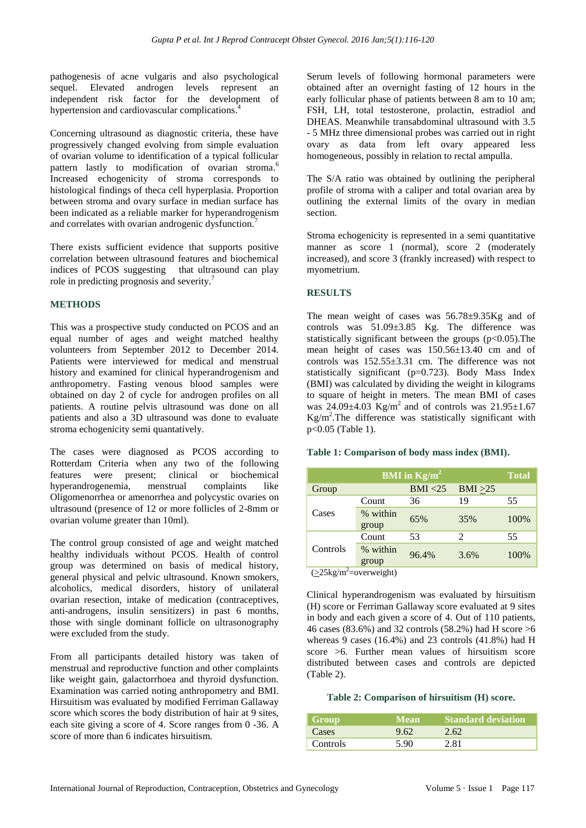pathogenesis of acne vulgaris and also psychological sequel. Elevated androgen levels represent an independent risk factor for the development of hypertension and cardiovascular complications.<sup>4</sup>

Concerning ultrasound as diagnostic criteria, these have progressively changed evolving from simple evaluation of ovarian volume to identification of a typical follicular pattern lastly to modification of ovarian stroma.<sup>6</sup> Increased echogenicity of stroma corresponds to histological findings of theca cell hyperplasia. Proportion between stroma and ovary surface in median surface has been indicated as a reliable marker for hyperandrogenism and correlates with ovarian androgenic dysfunction.<sup>7</sup>

There exists sufficient evidence that supports positive correlation between ultrasound features and biochemical indices of PCOS suggesting that ultrasound can play role in predicting prognosis and severity.<sup>7</sup>

#### **METHODS**

This was a prospective study conducted on PCOS and an equal number of ages and weight matched healthy volunteers from September 2012 to December 2014. Patients were interviewed for medical and menstrual history and examined for clinical hyperandrogenism and anthropometry. Fasting venous blood samples were obtained on day 2 of cycle for androgen profiles on all patients. A routine pelvis ultrasound was done on all patients and also a 3D ultrasound was done to evaluate stroma echogenicity semi quantatively.

The cases were diagnosed as PCOS according to Rotterdam Criteria when any two of the following features were present; clinical or biochemical hyperandrogenemia, menstrual complaints like Oligomenorrhea or amenorrhea and polycystic ovaries on ultrasound (presence of 12 or more follicles of 2-8mm or ovarian volume greater than 10ml).

The control group consisted of age and weight matched healthy individuals without PCOS. Health of control group was determined on basis of medical history, general physical and pelvic ultrasound. Known smokers, alcoholics, medical disorders, history of unilateral ovarian resection, intake of medication (contraceptives, anti-androgens, insulin sensitizers) in past 6 months, those with single dominant follicle on ultrasonography were excluded from the study.

From all participants detailed history was taken of menstrual and reproductive function and other complaints like weight gain, galactorrhoea and thyroid dysfunction. Examination was carried noting anthropometry and BMI. Hirsuitism was evaluated by modified Ferriman Gallaway score which scores the body distribution of hair at 9 sites, each site giving a score of 4. Score ranges from 0 -36. A score of more than 6 indicates hirsuitism.

Serum levels of following hormonal parameters were obtained after an overnight fasting of 12 hours in the early follicular phase of patients between 8 am to 10 am; FSH, LH, total testosterone, prolactin, estradiol and DHEAS. Meanwhile transabdominal ultrasound with 3.5 - 5 MHz three dimensional probes was carried out in right ovary as data from left ovary appeared less homogeneous, possibly in relation to rectal ampulla.

The S/A ratio was obtained by outlining the peripheral profile of stroma with a caliper and total ovarian area by outlining the external limits of the ovary in median section.

Stroma echogenicity is represented in a semi quantitative manner as score 1 (normal), score 2 (moderately increased), and score 3 (frankly increased) with respect to myometrium.

#### **RESULTS**

The mean weight of cases was 56.78±9.35Kg and of controls was 51.09±3.85 Kg. The difference was statistically significant between the groups  $(p<0.05)$ . The mean height of cases was 150.56±13.40 cm and of controls was 152.55±3.31 cm. The difference was not statistically significant (p=0.723). Body Mass Index (BMI) was calculated by dividing the weight in kilograms to square of height in meters. The mean BMI of cases was  $24.09 \pm 4.03$  Kg/m<sup>2</sup> and of controls was  $21.95 \pm 1.67$ Kg/m<sup>2</sup> .The difference was statistically significant with p<0.05 (Table 1).

#### **Table 1: Comparison of body mass index (BMI).**

| <b>BMI</b> in $Kg/m^2$ |                   |          |         | <b>Total</b> |
|------------------------|-------------------|----------|---------|--------------|
| Group                  |                   | BMI < 25 | BMI >25 |              |
| Cases                  | Count             | 36       | 19      | 55           |
|                        | % within<br>group | 65%      | 35%     | 100%         |
| Controls<br>$\sim$     | Count             | 53       | 2       | 55           |
|                        | % within<br>group | 96.4%    | 3.6%    | 100%         |

 $\sqrt{25\text{kg/m}^2}$ =overweight)

Clinical hyperandrogenism was evaluated by hirsuitism (H) score or Ferriman Gallaway score evaluated at 9 sites in body and each given a score of 4. Out of 110 patients, 46 cases (83.6%) and 32 controls (58.2%) had H score >6 whereas 9 cases (16.4%) and 23 controls (41.8%) had H score >6. Further mean values of hirsuitism score distributed between cases and controls are depicted (Table 2).

#### **Table 2: Comparison of hirsuitism (H) score.**

| Group    | Mean' | <b>Standard deviation</b> |
|----------|-------|---------------------------|
| Cases    | 9.62  | 2.62                      |
| Controls | 5.90  | 2.81                      |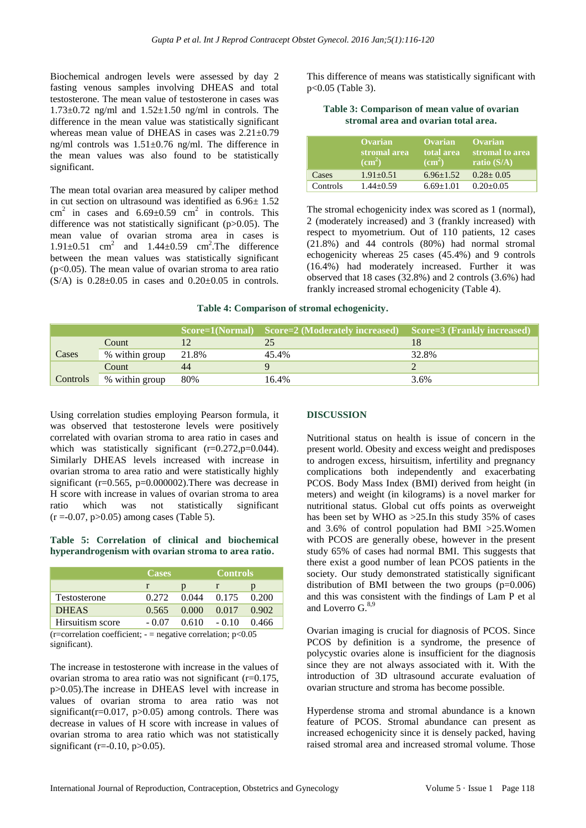Biochemical androgen levels were assessed by day 2 fasting venous samples involving DHEAS and total testosterone. The mean value of testosterone in cases was  $1.73\pm0.72$  ng/ml and  $1.52\pm1.50$  ng/ml in controls. The difference in the mean value was statistically significant whereas mean value of DHEAS in cases was 2.21±0.79 ng/ml controls was 1.51±0.76 ng/ml. The difference in the mean values was also found to be statistically significant.

The mean total ovarian area measured by caliper method in cut section on ultrasound was identified as 6.96± 1.52 cm<sup>2</sup> in cases and  $6.69 \pm 0.59$  cm<sup>2</sup> in controls. This difference was not statistically significant (p>0.05). The mean value of ovarian stroma area in cases is  $1.91\pm0.51$  cm<sup>2</sup> and  $1.44\pm0.59$  cm<sup>2</sup>. The difference between the mean values was statistically significant  $(p<0.05)$ . The mean value of ovarian stroma to area ratio  $(S/A)$  is  $0.28 \pm 0.05$  in cases and  $0.20 \pm 0.05$  in controls. This difference of means was statistically significant with p<0.05 (Table 3).

| Table 3: Comparison of mean value of ovarian |  |
|----------------------------------------------|--|
| stromal area and ovarian total area.         |  |

|          | <b>Ovarian</b><br>stromal area<br>$\rm \left( cm^2 \right)$ | Ovarian<br>total area<br>$\rm \left( cm^2 \right)$ | Ovarian<br>stromal to area.<br>ratio $(S/A)$ |
|----------|-------------------------------------------------------------|----------------------------------------------------|----------------------------------------------|
| Cases    | $1.91 + 0.51$                                               | $6.96 + 1.52$                                      | $0.28 + 0.05$                                |
| Controls | $1.44 + 0.59$                                               | $6.69 + 1.01$                                      | $0.20 + 0.05$                                |

The stromal echogenicity index was scored as 1 (normal), 2 (moderately increased) and 3 (frankly increased) with respect to myometrium. Out of 110 patients, 12 cases (21.8%) and 44 controls (80%) had normal stromal echogenicity whereas 25 cases (45.4%) and 9 controls (16.4%) had moderately increased. Further it was observed that 18 cases (32.8%) and 2 controls (3.6%) had frankly increased stromal echogenicity (Table 4).

#### **Table 4: Comparison of stromal echogenicity.**

|          |                |       | Score=1(Normal) Score=2 (Moderately increased) Score=3 (Frankly increased) |       |
|----------|----------------|-------|----------------------------------------------------------------------------|-------|
|          | Count          |       |                                                                            |       |
| Cases    | % within group | 21.8% | 45.4%                                                                      | 32.8% |
|          | Count          | 44    |                                                                            |       |
| Controls | % within group | 80%   | 16.4%                                                                      | 3.6%  |

Using correlation studies employing Pearson formula, it was observed that testosterone levels were positively correlated with ovarian stroma to area ratio in cases and which was statistically significant  $(r=0.272, p=0.044)$ . Similarly DHEAS levels increased with increase in ovarian stroma to area ratio and were statistically highly significant ( $r=0.565$ ,  $p=0.000002$ ). There was decrease in H score with increase in values of ovarian stroma to area ratio which was not statistically significant  $(r = -0.07, p > 0.05)$  among cases (Table 5).

#### **Table 5: Correlation of clinical and biochemical hyperandrogenism with ovarian stroma to area ratio.**

|                                                                | <b>Cases</b> |       | <b>Controls</b> |       |  |
|----------------------------------------------------------------|--------------|-------|-----------------|-------|--|
|                                                                |              |       |                 |       |  |
| Testosterone                                                   | 0.272        | 0.044 | 0.175           | 0.200 |  |
| <b>DHEAS</b>                                                   | 0.565        | 0.000 | 0.017           | 0.902 |  |
| Hirsuitism score                                               | $-0.07$      | 0.610 | $-0.10$         | 0.466 |  |
| (r=correlation coefficient; - = negative correlation; $p<0.05$ |              |       |                 |       |  |

significant).

The increase in testosterone with increase in the values of ovarian stroma to area ratio was not significant (r=0.175, p>0.05).The increase in DHEAS level with increase in values of ovarian stroma to area ratio was not significant( $r=0.017$ ,  $p>0.05$ ) among controls. There was decrease in values of H score with increase in values of ovarian stroma to area ratio which was not statistically significant (r= $-0.10$ , p $>0.05$ ).

### **DISCUSSION**

Nutritional status on health is issue of concern in the present world. Obesity and excess weight and predisposes to androgen excess, hirsuitism, infertility and pregnancy complications both independently and exacerbating PCOS. Body Mass Index (BMI) derived from height (in meters) and weight (in kilograms) is a novel marker for nutritional status. Global cut offs points as overweight has been set by WHO as >25.In this study 35% of cases and 3.6% of control population had BMI >25.Women with PCOS are generally obese, however in the present study 65% of cases had normal BMI. This suggests that there exist a good number of lean PCOS patients in the society. Our study demonstrated statistically significant distribution of BMI between the two groups  $(p=0.006)$ and this was consistent with the findings of Lam P et al and Loverro  $G<sub>0</sub>$ <sup>8,9</sup>

Ovarian imaging is crucial for diagnosis of PCOS. Since PCOS by definition is a syndrome, the presence of polycystic ovaries alone is insufficient for the diagnosis since they are not always associated with it. With the introduction of 3D ultrasound accurate evaluation of ovarian structure and stroma has become possible.

Hyperdense stroma and stromal abundance is a known feature of PCOS. Stromal abundance can present as increased echogenicity since it is densely packed, having raised stromal area and increased stromal volume. Those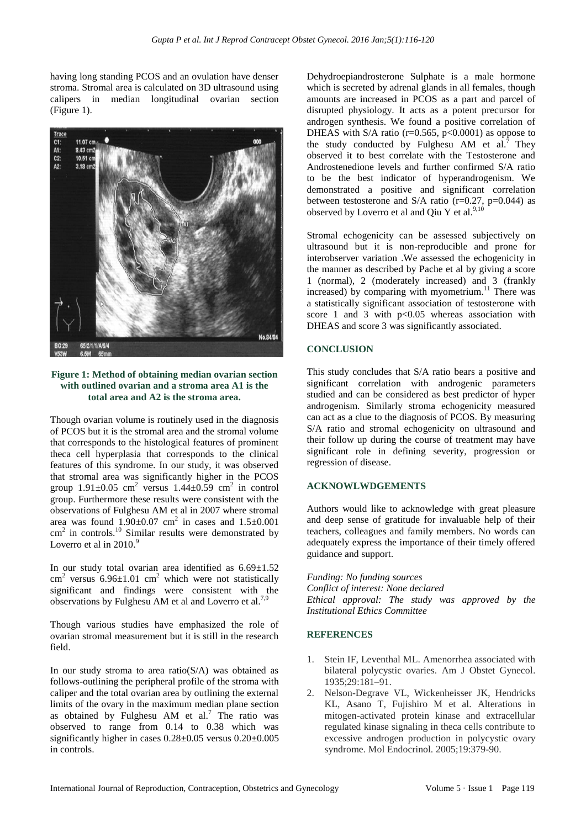having long standing PCOS and an ovulation have denser stroma. Stromal area is calculated on 3D ultrasound using calipers in median longitudinal ovarian section (Figure 1).



#### **Figure 1: Method of obtaining median ovarian section with outlined ovarian and a stroma area A1 is the total area and A2 is the stroma area.**

Though ovarian volume is routinely used in the diagnosis of PCOS but it is the stromal area and the stromal volume that corresponds to the histological features of prominent theca cell hyperplasia that corresponds to the clinical features of this syndrome. In our study, it was observed that stromal area was significantly higher in the PCOS group  $1.91 \pm 0.05$  cm<sup>2</sup> versus  $1.44 \pm 0.59$  cm<sup>2</sup> in control group. Furthermore these results were consistent with the observations of Fulghesu AM et al in 2007 where stromal area was found  $1.90 \pm 0.07$  cm<sup>2</sup> in cases and  $1.5 \pm 0.001$  $\text{cm}^2$  in controls.<sup>10</sup> Similar results were demonstrated by Loverro et al in 2010.<sup>9</sup>

In our study total ovarian area identified as  $6.69 \pm 1.52$  $\text{cm}^2$  versus 6.96 $\pm$ 1.01 cm<sup>2</sup> which were not statistically significant and findings were consistent with the observations by Fulghesu AM et al and Loverro et al.<sup>7,9</sup>

Though various studies have emphasized the role of ovarian stromal measurement but it is still in the research field.

In our study stroma to area  $ratio(S/A)$  was obtained as follows-outlining the peripheral profile of the stroma with caliper and the total ovarian area by outlining the external limits of the ovary in the maximum median plane section as obtained by Fulghesu AM et al.<sup>7</sup> The ratio was observed to range from 0.14 to 0.38 which was significantly higher in cases 0.28±0.05 versus 0.20±0.005 in controls.

Dehydroepiandrosterone Sulphate is a male hormone which is secreted by adrenal glands in all females, though amounts are increased in PCOS as a part and parcel of disrupted physiology. It acts as a potent precursor for androgen synthesis. We found a positive correlation of DHEAS with S/A ratio ( $r=0.565$ ,  $p<0.0001$ ) as oppose to the study conducted by Fulghesu AM et al.<sup>7</sup> They observed it to best correlate with the Testosterone and Androstenedione levels and further confirmed S/A ratio to be the best indicator of hyperandrogenism. We demonstrated a positive and significant correlation between testosterone and S/A ratio ( $r=0.27$ ,  $p=0.044$ ) as observed by Loverro et al and Qiu Y et al. $^{9,10}$ 

Stromal echogenicity can be assessed subjectively on ultrasound but it is non-reproducible and prone for interobserver variation .We assessed the echogenicity in the manner as described by Pache et al by giving a score 1 (normal), 2 (moderately increased) and 3 (frankly increased) by comparing with myometrium.<sup>11</sup> There was a statistically significant association of testosterone with score 1 and 3 with  $p<0.05$  whereas association with DHEAS and score 3 was significantly associated.

#### **CONCLUSION**

This study concludes that S/A ratio bears a positive and significant correlation with androgenic parameters studied and can be considered as best predictor of hyper androgenism. Similarly stroma echogenicity measured can act as a clue to the diagnosis of PCOS. By measuring S/A ratio and stromal echogenicity on ultrasound and their follow up during the course of treatment may have significant role in defining severity, progression or regression of disease.

#### **ACKNOWLWDGEMENTS**

Authors would like to acknowledge with great pleasure and deep sense of gratitude for invaluable help of their teachers, colleagues and family members. No words can adequately express the importance of their timely offered guidance and support.

*Funding: No funding sources Conflict of interest: None declared Ethical approval: The study was approved by the Institutional Ethics Committee*

#### **REFERENCES**

- 1. Stein IF, Leventhal ML. Amenorrhea associated with bilateral polycystic ovaries. Am J Obstet Gynecol. 1935;29:181–91.
- 2. Nelson-Degrave VL, Wickenheisser JK, Hendricks KL, Asano T, Fujishiro M et al. Alterations in mitogen-activated protein kinase and extracellular regulated kinase signaling in theca cells contribute to excessive androgen production in polycystic ovary syndrome. Mol Endocrinol. 2005;19:379-90.